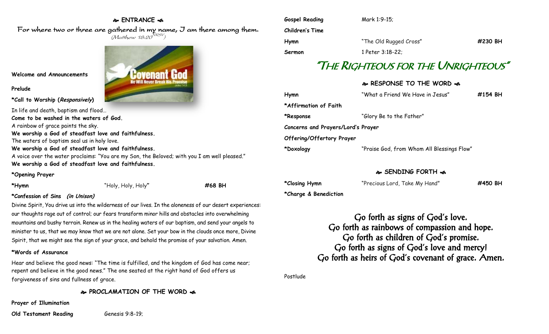### **ENTRANCE**

For where two or three are gathered in my name, I am there among them.  $(M$ atthew 18:20 $^{NRSV})$ 

**Welcome and Announcements**

**Prelude**

**\*Call to Worship (Responsively)** 

In life and death, baptism and flood… **Come to be washed in the waters of God.** A rainbow of grace paints the sky. **We worship a God of steadfast love and faithfulness.** The waters of baptism seal us in holy love. **We worship a God of steadfast love and faithfulness.** A voice over the water proclaims: "You are my Son, the Beloved; with you I am well pleased." **We worship a God of steadfast love and faithfulness.**

### **\*Opening Prayer**

**\*Hymn** "Holy, Holy, Holy**" #68 BH**

### **\*Confession of Sins (in Unison)**

Divine Spirit, You drive us into the wilderness of our lives. In the aloneness of our desert experiences: our thoughts rage out of control; our fears transform minor hills and obstacles into overwhelming mountains and bushy terrain. Renew us in the healing waters of our baptism, and send your angels to minister to us, that we may know that we are not alone. Set your bow in the clouds once more, Divine Spirit, that we might see the sign of your grace, and behold the promise of your salvation. Amen.

### **\*Words of Assurance**

Hear and believe the good news: "The time is fulfilled, and the kingdom of God has come near; repent and believe in the good news." The one seated at the right hand of God offers us forgiveness of sins and fullness of grace.

**PROCLAMATION OF THE WORD** 

**Prayer of Illumination**

**Old Testament Reading** Genesis 9:8-19;

| Gospel Reading<br>Children's Time | Mark 1:9-15;           |         |
|-----------------------------------|------------------------|---------|
| Hymn                              | "The Old Rugged Cross" | #230 BH |
| Sermon                            | 1 Peter 3:18-22;       |         |

# "THE RIGHTEOUS FOR THE UNRIGHTEOUS"

## **RESPONSE TO THE WORD**  $\approx$

| Hymn                               | "What a Friend We Have in Jesus"           | #154 BH |  |  |
|------------------------------------|--------------------------------------------|---------|--|--|
| *Affirmation of Faith              |                                            |         |  |  |
| *Response                          | "Glory Be to the Father"                   |         |  |  |
| Concerns and Prayers/Lord's Prayer |                                            |         |  |  |
| Offering/Offertory Prayer          |                                            |         |  |  |
| *Doxology                          | "Praise God, from Whom All Blessings Flow" |         |  |  |
|                                    |                                            |         |  |  |

### **SENDING FORTH**

| *Closing Hymn         | "Precious Lord, Take My Hand" | #450 BH |
|-----------------------|-------------------------------|---------|
| *Charge & Benediction |                               |         |

Go forth as signs of God's love. Go forth as rainbows of compassion and hope. Go forth as children of God's promise. Go forth as signs of God's love and mercy! Go forth as heirs of God's covenant of grace. Amen.

Postlude